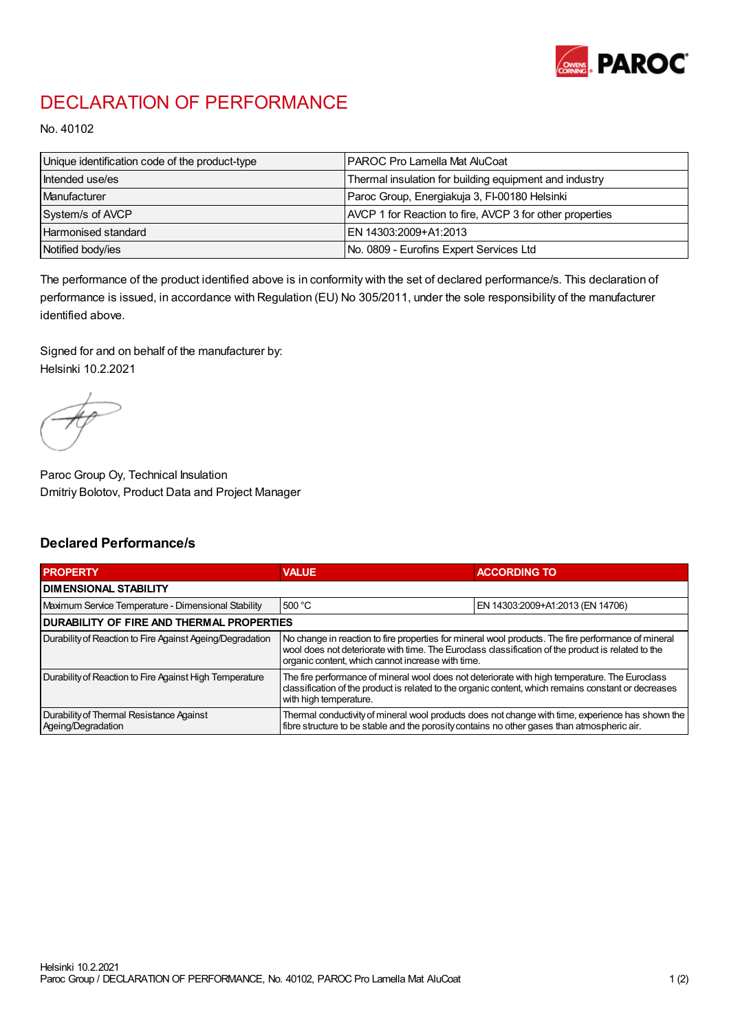

## DECLARATION OF PERFORMANCE

No. 40102

| Unique identification code of the product-type | I PAROC Pro Lamella Mat AluCoat                          |
|------------------------------------------------|----------------------------------------------------------|
| Intended use/es                                | Thermal insulation for building equipment and industry   |
| Manufacturer                                   | Paroc Group, Energiakuja 3, FI-00180 Helsinki            |
| System/s of AVCP                               | AVCP 1 for Reaction to fire, AVCP 3 for other properties |
| Harmonised standard                            | IEN 14303:2009+A1:2013                                   |
| Notified body/ies                              | No. 0809 - Eurofins Expert Services Ltd                  |

The performance of the product identified above is in conformity with the set of declared performance/s. This declaration of performance is issued, in accordance with Regulation (EU) No 305/2011, under the sole responsibility of the manufacturer identified above.

Signed for and on behalf of the manufacturer by: Helsinki 10.2.2021

Paroc Group Oy, Technical Insulation Dmitriy Bolotov, Product Data and Project Manager

## Declared Performance/s

| <b>PROPERTY</b>                                                | <b>VALUE</b>                                                                                                                                                                                                                                                   | <b>ACCORDING TO.</b>             |  |
|----------------------------------------------------------------|----------------------------------------------------------------------------------------------------------------------------------------------------------------------------------------------------------------------------------------------------------------|----------------------------------|--|
| <b>DIMENSIONAL STABILITY</b>                                   |                                                                                                                                                                                                                                                                |                                  |  |
| Maximum Service Temperature - Dimensional Stability            | 500 °C                                                                                                                                                                                                                                                         | EN 14303:2009+A1:2013 (EN 14706) |  |
| <b>DURABILITY OF FIRE AND THERMAL PROPERTIES</b>               |                                                                                                                                                                                                                                                                |                                  |  |
| Durability of Reaction to Fire Against Ageing/Degradation      | No change in reaction to fire properties for mineral wool products. The fire performance of mineral<br>wool does not deteriorate with time. The Euroclass classification of the product is related to the<br>organic content, which cannot increase with time. |                                  |  |
| Durability of Reaction to Fire Against High Temperature        | The fire performance of mineral wool does not deteriorate with high temperature. The Euroclass<br>classification of the product is related to the organic content, which remains constant or decreases<br>with high temperature.                               |                                  |  |
| Durability of Thermal Resistance Against<br>Ageing/Degradation | Thermal conductivity of mineral wool products does not change with time, experience has shown the<br>fibre structure to be stable and the porosity contains no other gases than atmospheric air.                                                               |                                  |  |